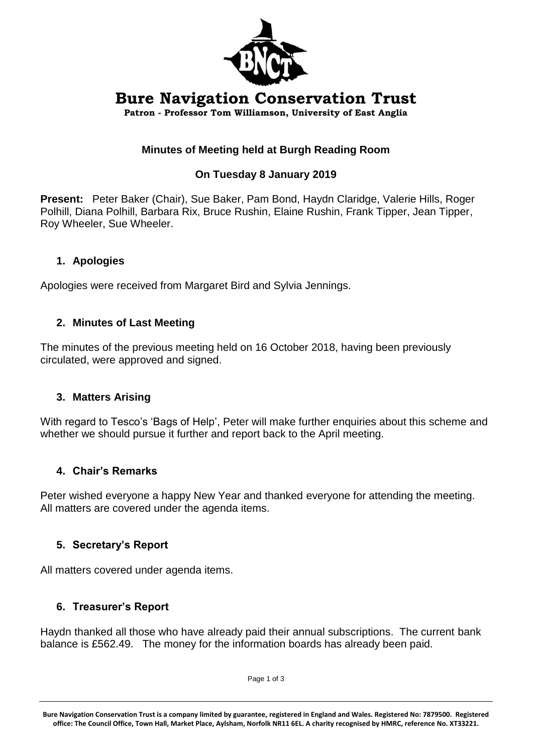

# **Bure Navigation Conservation Trust**

**Patron - Professor Tom Williamson, University of East Anglia**

# **Minutes of Meeting held at Burgh Reading Room**

### **On Tuesday 8 January 2019**

**Present:** Peter Baker (Chair), Sue Baker, Pam Bond, Haydn Claridge, Valerie Hills, Roger Polhill, Diana Polhill, Barbara Rix, Bruce Rushin, Elaine Rushin, Frank Tipper, Jean Tipper, Roy Wheeler, Sue Wheeler.

### **1. Apologies**

Apologies were received from Margaret Bird and Sylvia Jennings.

### **2. Minutes of Last Meeting**

The minutes of the previous meeting held on 16 October 2018, having been previously circulated, were approved and signed.

### **3. Matters Arising**

With regard to Tesco's 'Bags of Help', Peter will make further enquiries about this scheme and whether we should pursue it further and report back to the April meeting.

### **4. Chair's Remarks**

Peter wished everyone a happy New Year and thanked everyone for attending the meeting. All matters are covered under the agenda items.

# **5. Secretary's Report**

All matters covered under agenda items.

# **6. Treasurer's Report**

Haydn thanked all those who have already paid their annual subscriptions. The current bank balance is £562.49. The money for the information boards has already been paid.

Page 1 of 3

**Bure Navigation Conservation Trust is a company limited by guarantee, registered in England and Wales. Registered No: 7879500. Registered office: The Council Office, Town Hall, Market Place, Aylsham, Norfolk NR11 6EL. A charity recognised by HMRC, reference No. XT33221.**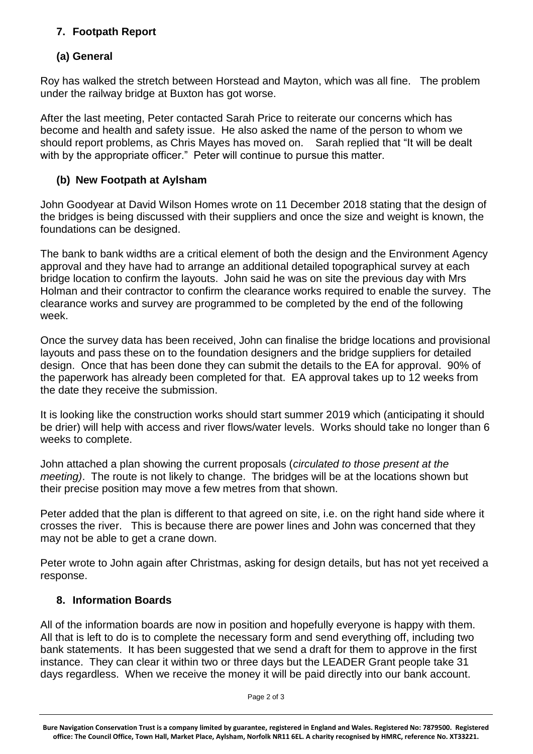# **7. Footpath Report**

# **(a) General**

Roy has walked the stretch between Horstead and Mayton, which was all fine. The problem under the railway bridge at Buxton has got worse.

After the last meeting, Peter contacted Sarah Price to reiterate our concerns which has become and health and safety issue. He also asked the name of the person to whom we should report problems, as Chris Mayes has moved on. Sarah replied that "It will be dealt with by the appropriate officer." Peter will continue to pursue this matter.

### **(b) New Footpath at Aylsham**

John Goodyear at David Wilson Homes wrote on 11 December 2018 stating that the design of the bridges is being discussed with their suppliers and once the size and weight is known, the foundations can be designed.

The bank to bank widths are a critical element of both the design and the Environment Agency approval and they have had to arrange an additional detailed topographical survey at each bridge location to confirm the layouts. John said he was on site the previous day with Mrs Holman and their contractor to confirm the clearance works required to enable the survey. The clearance works and survey are programmed to be completed by the end of the following week.

Once the survey data has been received, John can finalise the bridge locations and provisional layouts and pass these on to the foundation designers and the bridge suppliers for detailed design. Once that has been done they can submit the details to the EA for approval. 90% of the paperwork has already been completed for that. EA approval takes up to 12 weeks from the date they receive the submission.

It is looking like the construction works should start summer 2019 which (anticipating it should be drier) will help with access and river flows/water levels. Works should take no longer than 6 weeks to complete.

John attached a plan showing the current proposals (*circulated to those present at the meeting)*. The route is not likely to change. The bridges will be at the locations shown but their precise position may move a few metres from that shown.

Peter added that the plan is different to that agreed on site, i.e. on the right hand side where it crosses the river. This is because there are power lines and John was concerned that they may not be able to get a crane down.

Peter wrote to John again after Christmas, asking for design details, but has not yet received a response.

### **8. Information Boards**

All of the information boards are now in position and hopefully everyone is happy with them. All that is left to do is to complete the necessary form and send everything off, including two bank statements. It has been suggested that we send a draft for them to approve in the first instance. They can clear it within two or three days but the LEADER Grant people take 31 days regardless. When we receive the money it will be paid directly into our bank account.

Page 2 of 3

**Bure Navigation Conservation Trust is a company limited by guarantee, registered in England and Wales. Registered No: 7879500. Registered office: The Council Office, Town Hall, Market Place, Aylsham, Norfolk NR11 6EL. A charity recognised by HMRC, reference No. XT33221.**